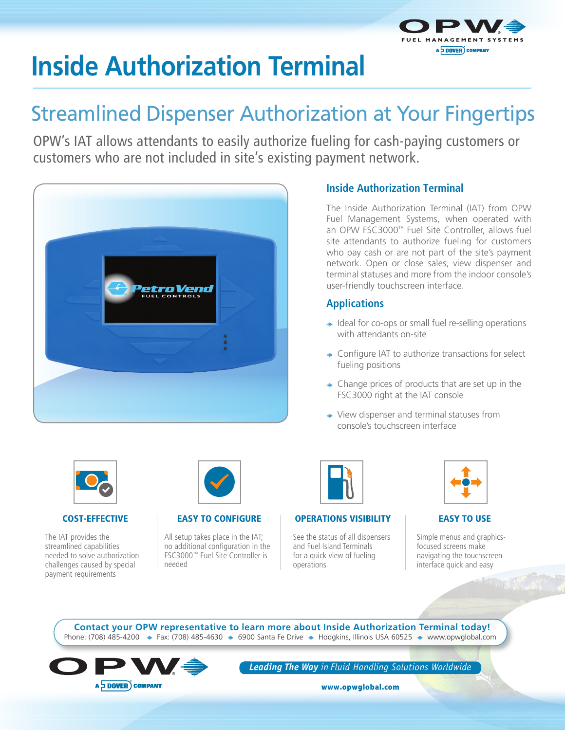

# **Inside Authorization Terminal**

## Streamlined Dispenser Authorization at Your Fingertips

OPW's IAT allows attendants to easily authorize fueling for cash-paying customers or customers who are not included in site's existing payment network.



#### **Inside Authorization Terminal**

The Inside Authorization Terminal (IAT) from OPW Fuel Management Systems, when operated with an OPW FSC3000™ Fuel Site Controller, allows fuel site attendants to authorize fueling for customers who pay cash or are not part of the site's payment network. Open or close sales, view dispenser and terminal statuses and more from the indoor console's user-friendly touchscreen interface.

#### **Applications**

- $\rightarrow$  Ideal for co-ops or small fuel re-selling operations with attendants on-site
- ◆ Configure IAT to authorize transactions for select fueling positions
- $\rightarrow$  Change prices of products that are set up in the FSC3000 right at the IAT console
- ◆ View dispenser and terminal statuses from console's touchscreen interface



#### COST-EFFECTIVE

The IAT provides the streamlined capabilities needed to solve authorization challenges caused by special payment requirements



#### EASY TO CONFIGURE

All setup takes place in the IAT; no additional configuration in the FSC3000™ Fuel Site Controller is needed

| D |
|---|
|---|

#### OPERATIONS VISIBILITY

See the status of all dispensers and Fuel Island Terminals for a quick view of fueling operations

|--|

#### EASY TO USE

Simple menus and graphicsfocused screens make navigating the touchscreen interface quick and easy

Phone: (708) 485-4200  $\div$  Fax: (708) 485-4630  $\div$  6900 Santa Fe Drive  $\div$  Hodgkins, Illinois USA 60525  $\div$  www.opwglobal.com **Contact your OPW representative to learn more about Inside Authorization Terminal today!**



*Leading The Way in Fluid Handling Solutions Worldwide*

www.opwglobal.com